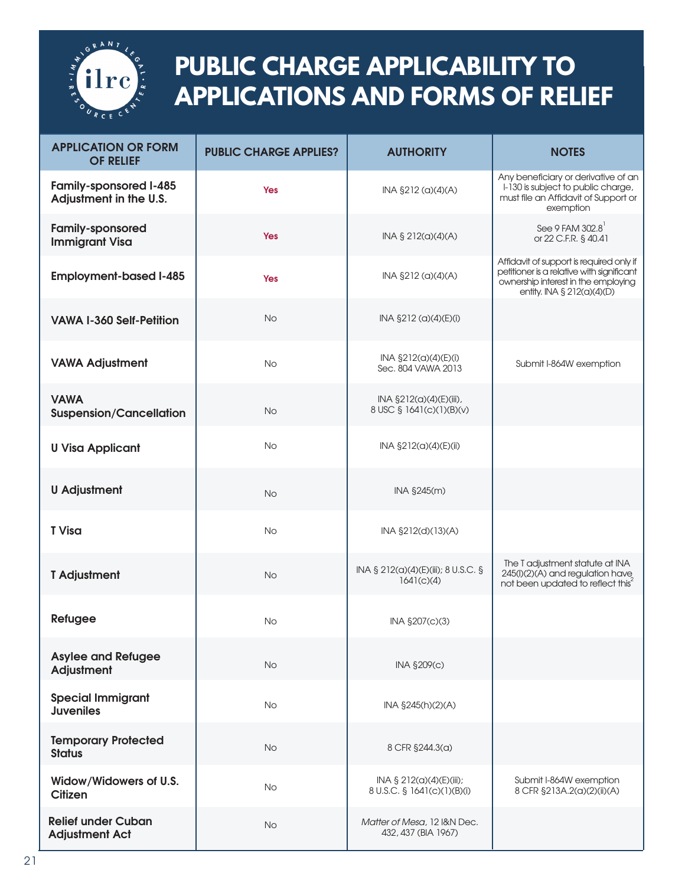

## **PUBLIC CHARGE APPLICABILITY TO APPLICATIONS AND FORMS OF RELIEF**

| <b>APPLICATION OR FORM</b><br><b>OF RELIEF</b>          | <b>PUBLIC CHARGE APPLIES?</b> | <b>AUTHORITY</b>                                           | <b>NOTES</b>                                                                                                                                               |
|---------------------------------------------------------|-------------------------------|------------------------------------------------------------|------------------------------------------------------------------------------------------------------------------------------------------------------------|
| <b>Family-sponsored I-485</b><br>Adjustment in the U.S. | <b>Yes</b>                    | INA §212 (a)(4)(A)                                         | Any beneficiary or derivative of an<br>I-130 is subject to public charge,<br>must file an Affidavit of Support or<br>exemption                             |
| <b>Family-sponsored</b><br><b>Immigrant Visa</b>        | <b>Yes</b>                    | INA § 212(a)(4)(A)                                         | See 9 FAM 302.8<br>or 22 C.F.R. § 40.41                                                                                                                    |
| <b>Employment-based I-485</b>                           | <b>Yes</b>                    | INA §212 (a)(4)(A)                                         | Affidavit of support is required only if<br>petitioner is a relative with significant<br>ownership interest in the employing<br>entity. INA § 212(a)(4)(D) |
| <b>VAWA I-360 Self-Petition</b>                         | No                            | INA §212 (a)(4)(E)(i)                                      |                                                                                                                                                            |
| <b>VAWA Adjustment</b>                                  | <b>No</b>                     | INA §212(a)(4)(E)(i)<br>Sec. 804 VAWA 2013                 | Submit I-864W exemption                                                                                                                                    |
| <b>VAWA</b><br><b>Suspension/Cancellation</b>           | <b>No</b>                     | INA §212(a)(4)(E)(iii),<br>8 USC § 1641(c)(1)(B)(v)        |                                                                                                                                                            |
| <b>U Visa Applicant</b>                                 | No                            | INA §212(a)(4)(E)(ii)                                      |                                                                                                                                                            |
| <b>U</b> Adjustment                                     | <b>No</b>                     | INA §245(m)                                                |                                                                                                                                                            |
| <b>T</b> Visa                                           | <b>No</b>                     | INA §212(d)(13)(A)                                         |                                                                                                                                                            |
| <b>T</b> Adjustment                                     | <b>No</b>                     | INA § 212(a)(4)(E)(iii); 8 U.S.C. §<br>1641(c)(4)          | The T adjustment statute at INA<br>245(I)(2)(A) and regulation have<br>not been updated to reflect this <sup>2</sup>                                       |
| Refugee                                                 | <b>No</b>                     | INA §207(c)(3)                                             |                                                                                                                                                            |
| <b>Asylee and Refugee</b><br><b>Adjustment</b>          | <b>No</b>                     | INA §209(c)                                                |                                                                                                                                                            |
| <b>Special Immigrant</b><br><b>Juveniles</b>            | <b>No</b>                     | INA §245(h)(2)(A)                                          |                                                                                                                                                            |
| <b>Temporary Protected</b><br><b>Status</b>             | <b>No</b>                     | 8 CFR §244.3(a)                                            |                                                                                                                                                            |
| Widow/Widowers of U.S.<br><b>Citizen</b>                | No                            | INA $\S$ 212(a)(4)(E)(iii);<br>8 U.S.C. § 1641(c)(1)(B)(i) | Submit I-864W exemption<br>8 CFR §213A.2(a)(2)(ii)(A)                                                                                                      |
| <b>Relief under Cuban</b><br><b>Adjustment Act</b>      | No                            | Matter of Mesa, 12 I&N Dec.<br>432, 437 (BIA 1967)         |                                                                                                                                                            |